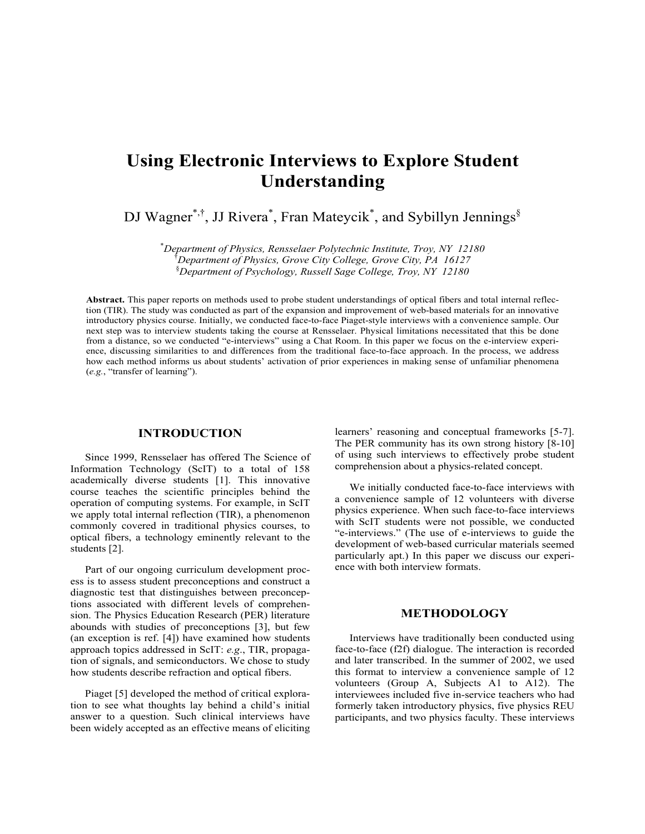# **Using Electronic Interviews to Explore Student Understanding**

DJ Wagner\*,<sup>†</sup>, JJ Rivera\*, Fran Mateycik<sup>\*</sup>, and Sybillyn Jennings<sup>§</sup>

*2180*  \* *Department of Physics, Rensselaer Polytechnic Institute, Troy, NY 1* <sup>†</sup> Department of Physics, Grove City College, Grove City, PA 16127 § *Department of Psychology, Russell Sage College, Troy, NY 12180*

Abstract. This paper reports on methods used to probe student understandings of optical fibers and total internal reflection (TIR). The study was conducted as part of the expansion and improvement of web-based materials for an innovative introductory physics course. Initially, we conducted face-to-face Piaget-style interviews with a convenience sample. Our next step was to interview students taking the course at Rensselaer. Physical limitations necessitated that this be done from a distance, so we conducted "e-interviews" using a Chat Room. In this paper we focus on the e-interview experience, discussing similarities to and differences from the traditional face-to-face approach. In the process, we address how each method informs us about students' activation of prior experiences in making sense of unfamiliar phenomena (*e.g.*, "transfer of learning").

#### **INTRODUCTION**

Since 1999, Rensselaer has offered The Science of Information Technology (ScIT) to a total of 158 comprehension course teaches the scientific principles behind the operation of computing systems. For example, in ScIT we apply total internal reflection (TIR), a phenomenon commonly covered in traditional physics courses, to optical fibers, a technology eminently relevant to the academically diverse students [1]. This innovative students [2].

Part of our ongoing curriculum development process is to assess student preconceptions and construct a diagnostic test that distinguishes between preconceptions associated with different levels of comprehension. The Physics Education Research (PER) literature abounds with studies of preconceptions [3], but few (an exception is ref. [4]) have examined how students approach topics addressed in ScIT: *e.g*., TIR, propagation of signals, and semiconductors. We chose to study how students describe refraction and optical fibers.

Piaget [5] developed the method of critical exploration to see what thoughts lay behind a child's initial answer to a question. Such clinical interviews have been widely accepted as an effective means of eliciting

learners' reasoning and conceptual frameworks [5-7]. The PER community has its own strong history  $[8-10]$ of using such interviews to effectively probe student comprehension about a physics-related concept.

We initially conducted face-to-face interviews with a convenience sample of 12 volunteers with diverse physics experience. When such face-to-face interviews with ScIT students were not possible, we conducted "e-interviews." (The use of e-interviews to guide the development of web-based curricular materials seemed particularly apt.) In this paper we discuss our experience with both interview formats.

#### **METHODOLOGY**

Interviews have traditionally been conducted using face-to-face (f2f) dialogue. The interaction is recorded and later transcribed. In the summer of 2002, we used this format to interview a convenience sample of 12 volunteers (Group A, Subjects A1 to A12). The interviewees included five in-service teachers who had formerly taken introductory physics, five physics REU participants, and two physics faculty. These interviews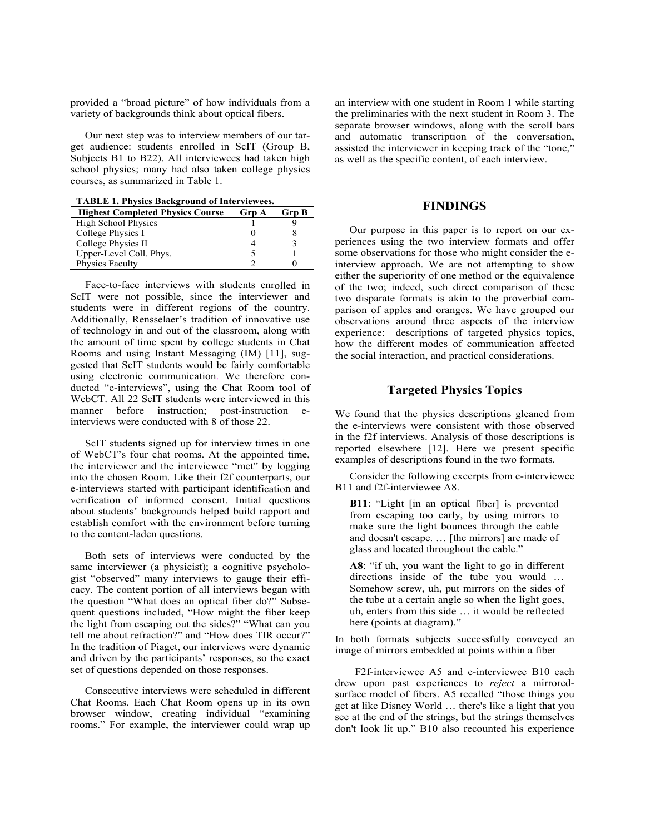provided a "broad picture" of how individuals from a variety of backgrounds think about optical fibers.

Our next step was to interview members of our target audience: students enrolled in ScIT (Group B, Subjects B1 to B22). All interviewees had taken high school physics; many had also taken college physics courses, as summarized in Table 1.

TABLE 1. Physics Background of Interviewees.

| <b>Highest Completed Physics Course</b> | <b>Grp A</b> | Grp B |
|-----------------------------------------|--------------|-------|
| <b>High School Physics</b>              |              |       |
| College Physics I                       |              |       |
| College Physics II                      |              |       |
| Upper-Level Coll. Phys.                 |              |       |
| Physics Faculty                         |              |       |

Face-to-face interviews with students enrolled in ScIT were not possible, since the interviewer and students were in different regions of th e country. Additionally, Rensselaer's tradition of innovative use of technology in and out of the classroom, al ong with the amount of time spent by college students in Chat Rooms and using Instant Messagin g (IM) [1 1], suggested that ScIT students would be fairly comfortable using electronic communication. We therefore conducted "e-interviews", using the Chat Room tool of WebCT. All 22 ScIT students were interviewe manner before instruction; post-instruction einterviews were conducted with 8 of those 22.

ScIT students signed up for interview times in one SCIT students signed up for interview times in one<br>of WebCT's four chat rooms. At the appointed time, examples of descriptions found the interviewer and the interviewee "met" by logging into the chosen Room. Like their f2f counterparts, our e-interviews started with participant identification and verification of informed consent. Initial questions about students' backgrounds helped build rapport and establish comfort with the environment before to the content-laden questions.

Both sets of interviews were conducted by the same interviewer (a physicist); a cognitive psychologist "observed" many interviews to gauge their efficacy. The content portion of all interviews began with the question "What does an optical fiber do?" Subsequent questions included, "How might the fiber keep the light from escaping out the sides?" "What can you tell me about refraction?" and "How does TIR occur?" In the tradition of Piaget, our interviews were dynamic and driven by the participants' responses, so the exact set of questions depended on those responses.

Consecutive interviews were scheduled in different Chat Rooms. Each Chat Room opens up in its own browser window, creating individual "examining rooms." For example, the interviewer could wrap up

an interview with one student in Room 1 while starting the preliminaries with the next student in Room 3. The separate browser windows, along with the scroll bars and automatic transcription of the conversation, assisted the interviewer in keeping track of the "tone," as well as the specific content, of each interview.

# **S FINDING**

Our purpose in this paper is to report on our experiences using the two interview formats and offer some observations for those who might consider the einterview approach. We are not attempting to show either the superiority of one method or the equivalence of the two; indeed, such direct comparison of these two disparate formats is akin to the proverbial comparison of apples and oranges. We have grouped our observations around three aspects of the interview experience: descriptions of targeted physics topics, how the different modes of communication affected the social interaction, and practical considerations.

# **Topics**  d in this **Targeted Physics**

We found that the physics descriptions gleaned from the e-interviews were consistent with those observed in the f2f interviews. Analysis of those descriptions is reported elsewhere  $[12]$ . Here we present specific examples of descriptions found in the two formats.

Consider the following excerpts from e-interviewee B11 and f2f-interviewee A8.

B11: "Light [in an optical fiber] is prevented from escaping too early, by using mirrors to turning make sure the light bounces through the cable and doesn't escape. ... [the mirrors] are made of glass and located throughout the cable."

> A8: "if uh, you want the light to go in different directions inside of the tube you would ... Somehow screw, uh, put mirrors on the sides of the tube at a certain angle so when the light goes, uh, enters from this side … it would be reflected here (points at diagram)."

In both formats subjects successfully conveyed an image of mirrors embedded at points within a fiber

 F2f-interviewee A5 and e-interviewee B10 each drew upon past experiences to *reject* a mirroredsurface model of fibers. A5 recalled "those things you get at like Disney World … there's like a light that you see at the end of the strings, but the strings themselves don't look lit up." B10 also recounted his experience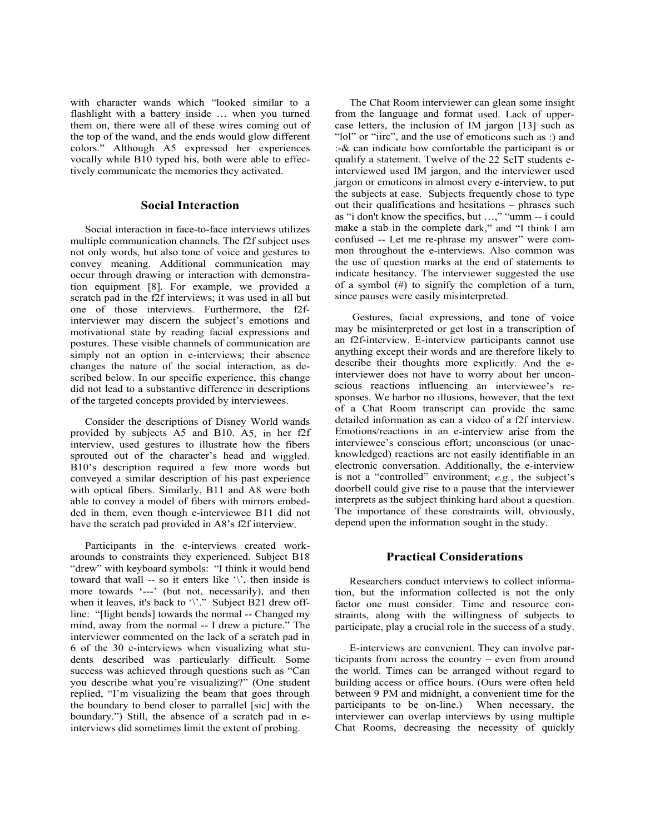with character wands which "looked sim il ar to a flashlight with a battery inside ... when you turned them on, there were all of these wires com in g out of the top of the wand, and the ends would glow d ifferent colors." Although A5 expressed her exp eriences vocally while B10 typed his, both were able t o effectively communicate the memories they activated.

#### **Social Interaction**

Social interaction in face-to-face interviews utilizes multiple communication channels. The f2f subject uses not only words, but also tone of voice and gestures to convey meaning. Additional communication may occur through drawing or interaction with demonstration equipment [8]. For example, we provided a scratch pad in the f2f interviews; it was used in all but one of those interviews. Furthermore, the f2finterviewer may discern the subject's emotions and motivational state by reading facial expressions and postures. These visible channels of communication are simply not an option in e-interviews; their absence changes the nature of the social interaction, as described below. In our specific experience, this change did not lead to a substantive difference in descriptions of the targeted concepts provided by interviewees.

Consider the descriptions of Disney World wands provided by subjects A5 and B10. A5, in her f2f interview, used gestures to illustrate how the fibers sprouted out of the character's head and wiggled. B10's description required a few more words but conveyed a similar description of his past experience with optical fibers. Similarly, B11 and A8 were both able to convey a model of fibers with mirrors embedded in them, even though e-interviewee B11 did not have the scratch pad provided in A8's f2f interview.

Participants in the e-interviews created workarounds to constraints they experienced. Subject B18 "drew" with keyboard symbols: "I think it would bend toward that wall -- so it enters like '\', then inside is more towards '---' (but not, necessarily), and then when it leaves, it's back to '\'." Subject B21 drew offline: "[light bends] towards the normal -- Changed my mind, away from the normal -- I drew a picture." The interviewer commented on the lack of a scratch pad in 6 of the 30 e-interviews when visualizing what students described was particularly difficult. Some success was achieved through questions such as "Can you describe what you're visualizing?" (One student replied, "I'm visualizing the beam that goes through the boundary to bend closer to parrallel [sic] with the boundary.") Still, the absence of a scratch pad in einterviews did sometimes limit the extent of probing.

The Chat Room interviewer can glean some insight from the language and format used. Lack of uppercase letters, the inclusion of IM jargon [13] such as "lol" or "iirc", and the use of emoticons such as :) and  $\therefore$  & can indicate how comfortable the participant is or qualify a statement. Twelve of the 22 ScIT students einterviewed used IM jargon, and the interviewer used jargon or emoticons in almost every e-interview, to put the subjects at ease. Subjects frequently chose to type out their qualifications and hesitations - phrases such as "i don't know the specifics, but ...," "umm -- i could make a stab in the complete dark," and "I think I am confused -- Let me re-phrase my answer" were common throughout the e-interviews. Also common was the use of question marks at the end of statements to indicate hesitancy. The interviewer suggested the use of a symbol  $(\#)$  to signify the completion of a turn, since pauses were easily misinterpreted.

Gestures, facial expressions, and tone of voice may be misinterpreted or get lost in a transcription of an f2f-interview. E-interview participants cannot use anything except their words and are therefore likely to describe their thoughts more explicitly. And the einterviewer does not have to worry about her unconscious reactions influencing an interviewee's responses. We harbor no illusions, however, that the text of a Chat Room transcript can provide the same detailed information as can a video of a f2f interview. Emotions/reactions in an e-interview arise from the interviewee's conscious effort; unconscious (or unacknowledged) reactions are not easily identifiable in an electronic conversation. Additionally, the e-interview is not a "controlled" environment;  $e.g.,$  the subject's doorbell could give rise to a pause that the interviewer interprets as the subject thinking hard about a question. The importance of these constraints will, obviously, depend upon the information sought in the study.

# **Practical Considerations**

Researchers conduct interviews to collect information, but the information collected is not the only factor one must consider. Time and resource constraints, along with the willingness of subjects to participate, play a crucial role in the success of a study.

E-interviews are convenient. They can involve participants from across the country – even from around the world. Times can be arranged without regard to building access or office hours. (Ours were often held between 9 PM and midnight, a convenient time for the participants to be on-line.) When necessary, the interviewer can overlap interviews by using multiple Chat Rooms, decreasing the necessity of quickly